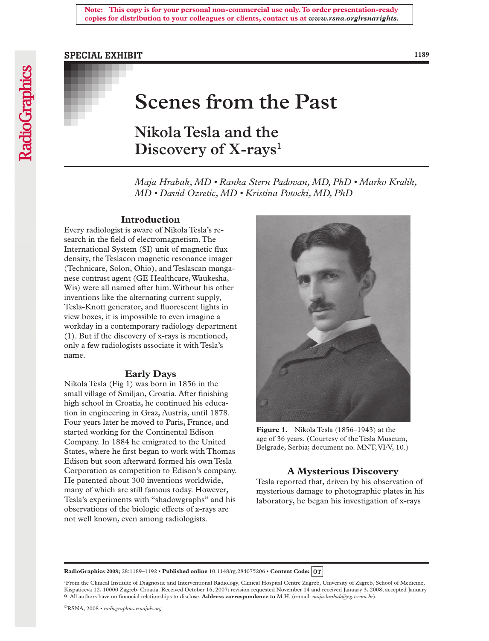## SPECIAL EXHIBIT

**1189**

# **Scenes from the Past**

**Nikola Tesla and the Discovery of X-rays1**

*Maja Hrabak, MD • Ranka Stern Padovan, MD, PhD • Marko Kralik, MD • David Ozretic, MD • Kristina Potocki, MD, PhD*

#### **Introduction**

Every radiologist is aware of Nikola Tesla's research in the field of electromagnetism. The International System (SI) unit of magnetic flux density, the Teslacon magnetic resonance imager (Technicare, Solon, Ohio), and Teslascan manganese contrast agent (GE Healthcare, Waukesha, Wis) were all named after him. Without his other inventions like the alternating current supply, Tesla-Knott generator, and fluorescent lights in view boxes, it is impossible to even imagine a workday in a contemporary radiology department (1). But if the discovery of x-rays is mentioned, only a few radiologists associate it with Tesla's name.

#### **Early Days**

Nikola Tesla (Fig 1) was born in 1856 in the small village of Smiljan, Croatia. After finishing high school in Croatia, he continued his education in engineering in Graz, Austria, until 1878. Four years later he moved to Paris, France, and started working for the Continental Edison Company. In 1884 he emigrated to the United States, where he first began to work with Thomas Edison but soon afterward formed his own Tesla Corporation as competition to Edison's company. He patented about 300 inventions worldwide, many of which are still famous today. However, Tesla's experiments with "shadowgraphs" and his observations of the biologic effects of x-rays are not well known, even among radiologists.



Figure 1. Nikola Tesla (1856–1943) at the age of 36 years. (Courtesy of the Tesla Museum, Belgrade, Serbia; document no. MNT, VI/V, 10.)

#### **A Mysterious Discovery**

Tesla reported that, driven by his observation of mysterious damage to photographic plates in his laboratory, he began his investigation of x-rays

**RadioGraphics 2008;** 28:1189–1192 • **Published online** 10.1148/rg.284075206 • **Content Code:**

1 From the Clinical Institute of Diagnostic and Interventional Radiology, Clinical Hospital Centre Zagreb, University of Zagreb, School of Medicine, Kispaticeva 12, 10000 Zagreb, Croatia. Received October 16, 2007; revision requested November 14 and received January 3, 2008; accepted January 9. All authors have no financial relationships to disclose. **Address correspondence to** M.H. (e-mail: *maja.hrabak@zg.t-com.hr*).

©RSNA, 2008 • *radiographics.rsnajnls.org*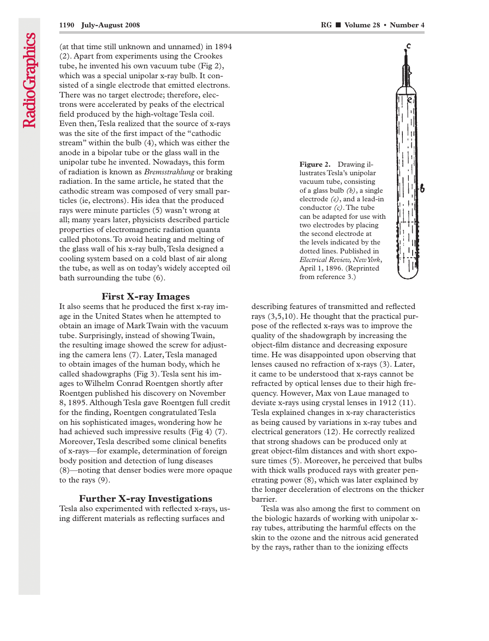(at that time still unknown and unnamed) in 1894 (2). Apart from experiments using the Crookes tube, he invented his own vacuum tube (Fig 2), which was a special unipolar x-ray bulb. It consisted of a single electrode that emitted electrons. There was no target electrode; therefore, electrons were accelerated by peaks of the electrical field produced by the high-voltage Tesla coil. Even then, Tesla realized that the source of x-rays was the site of the first impact of the "cathodic stream" within the bulb (4), which was either the anode in a bipolar tube or the glass wall in the unipolar tube he invented. Nowadays, this form of radiation is known as *Bremsstrahlung* or braking radiation. In the same article, he stated that the cathodic stream was composed of very small particles (ie, electrons). His idea that the produced rays were minute particles (5) wasn't wrong at all; many years later, physicists described particle properties of electromagnetic radiation quanta called photons. To avoid heating and melting of the glass wall of his x-ray bulb, Tesla designed a cooling system based on a cold blast of air along the tube, as well as on today's widely accepted oil bath surrounding the tube (6).

### **First X-ray Images**

It also seems that he produced the first x-ray image in the United States when he attempted to obtain an image of Mark Twain with the vacuum tube. Surprisingly, instead of showing Twain, the resulting image showed the screw for adjusting the camera lens (7). Later, Tesla managed to obtain images of the human body, which he called shadowgraphs (Fig 3). Tesla sent his images to Wilhelm Conrad Roentgen shortly after Roentgen published his discovery on November 8, 1895. Although Tesla gave Roentgen full credit for the finding, Roentgen congratulated Tesla on his sophisticated images, wondering how he had achieved such impressive results (Fig 4) (7). Moreover, Tesla described some clinical benefits of x-rays—for example, determination of foreign body position and detection of lung diseases (8)—noting that denser bodies were more opaque to the rays (9).

#### **Further X-ray Investigations**

Tesla also experimented with reflected x-rays, using different materials as reflecting surfaces and



describing features of transmitted and reflected rays (3,5,10). He thought that the practical purpose of the reflected x-rays was to improve the quality of the shadowgraph by increasing the object-film distance and decreasing exposure time. He was disappointed upon observing that lenses caused no refraction of x-rays (3). Later, it came to be understood that x-rays cannot be refracted by optical lenses due to their high frequency. However, Max von Laue managed to deviate x-rays using crystal lenses in 1912 (11). Tesla explained changes in x-ray characteristics as being caused by variations in x-ray tubes and electrical generators (12). He correctly realized that strong shadows can be produced only at great object-film distances and with short exposure times (5). Moreover, he perceived that bulbs with thick walls produced rays with greater penetrating power (8), which was later explained by the longer deceleration of electrons on the thicker barrier.

Tesla was also among the first to comment on the biologic hazards of working with unipolar xray tubes, attributing the harmful effects on the skin to the ozone and the nitrous acid generated by the rays, rather than to the ionizing effects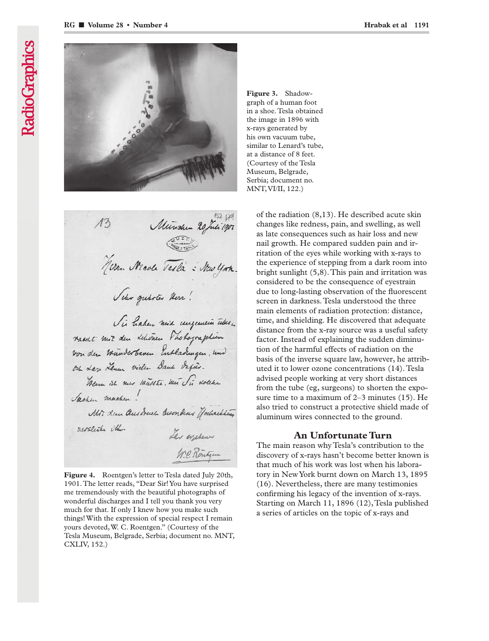

Vii haben mid ungemein über racut mit den dehenen Vhohographien von den münderbaren Entladungen, und on Lan Lemen vielen Dann dafür. Them in mer maste, men Si dolche Sachen machen! Mor dem Ques druch Besondens Jochachting merclish the. Lar esperan W.C. Rontgen

Figure 4. Roentgen's letter to Tesla dated July 20th, 1901. The letter reads, "Dear Sir! You have surprised me tremendously with the beautiful photographs of wonderful discharges and I tell you thank you very much for that. If only I knew how you make such things! With the expression of special respect I remain yours devoted, W. C. Roentgen." (Courtesy of the Tesla Museum, Belgrade, Serbia; document no. MNT, CXLIV, 152.)

**Figure 3.** Shadowgraph of a human foot in a shoe. Tesla obtained the image in 1896 with x-rays generated by his own vacuum tube, similar to Lenard's tube, at a distance of 8 feet. (Courtesy of the Tesla Museum, Belgrade, Serbia; document no. MNT, VI/II, 122.)

> of the radiation (8,13). He described acute skin changes like redness, pain, and swelling, as well as late consequences such as hair loss and new nail growth. He compared sudden pain and irritation of the eyes while working with x-rays to the experience of stepping from a dark room into bright sunlight (5,8). This pain and irritation was considered to be the consequence of eyestrain due to long-lasting observation of the fluorescent screen in darkness. Tesla understood the three main elements of radiation protection: distance, time, and shielding. He discovered that adequate distance from the x-ray source was a useful safety factor. Instead of explaining the sudden diminution of the harmful effects of radiation on the basis of the inverse square law, however, he attributed it to lower ozone concentrations (14). Tesla advised people working at very short distances from the tube (eg, surgeons) to shorten the exposure time to a maximum of 2–3 minutes (15). He also tried to construct a protective shield made of aluminum wires connected to the ground.

#### **An Unfortunate Turn**

The main reason why Tesla's contribution to the discovery of x-rays hasn't become better known is that much of his work was lost when his laboratory in New York burnt down on March 13, 1895 (16). Nevertheless, there are many testimonies confirming his legacy of the invention of x-rays. Starting on March 11, 1896 (12), Tesla published a series of articles on the topic of x-rays and